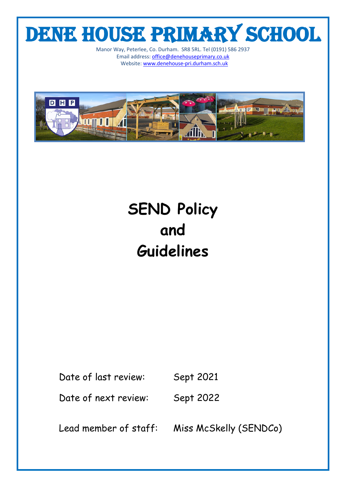# DENE HOUSE PRIMARY SCHOOL

Manor Way, Peterlee, Co. Durham. SR8 5RL. Tel (0191) 586 2937 Email address[: office@denehouseprimary.co.uk](mailto:office@denehouseprimary.co.uk) Website[: www.denehouse-pri.durham.sch.uk](http://www.denehouse-pri.durham.sch.uk/)



## **SEND Policy and Guidelines**

Date of last review: Sept 2021

Date of next review: Sept 2022

Lead member of staff: Miss McSkelly (SENDCo)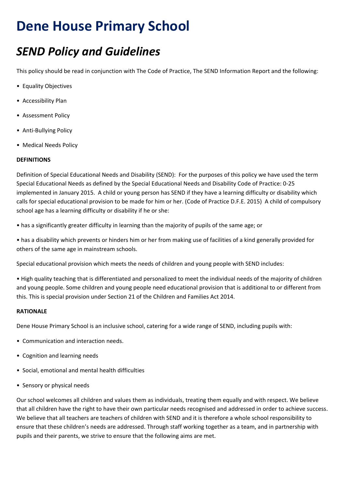## **Dene House Primary School**

### *SEND Policy and Guidelines*

This policy should be read in conjunction with The Code of Practice, The SEND Information Report and the following:

- Equality Objectives
- Accessibility Plan
- Assessment Policy
- Anti-Bullying Policy
- Medical Needs Policy

#### **DEFINITIONS**

Definition of Special Educational Needs and Disability (SEND): For the purposes of this policy we have used the term Special Educational Needs as defined by the Special Educational Needs and Disability Code of Practice: 0-25 implemented in January 2015. A child or young person has SEND if they have a learning difficulty or disability which calls for special educational provision to be made for him or her. (Code of Practice D.F.E. 2015) A child of compulsory school age has a learning difficulty or disability if he or she:

• has a significantly greater difficulty in learning than the majority of pupils of the same age; or

• has a disability which prevents or hinders him or her from making use of facilities of a kind generally provided for others of the same age in mainstream schools.

Special educational provision which meets the needs of children and young people with SEND includes:

• High quality teaching that is differentiated and personalized to meet the individual needs of the majority of children and young people. Some children and young people need educational provision that is additional to or different from this. This is special provision under Section 21 of the Children and Families Act 2014.

#### **RATIONALE**

Dene House Primary School is an inclusive school, catering for a wide range of SEND, including pupils with:

- Communication and interaction needs.
- Cognition and learning needs
- Social, emotional and mental health difficulties
- Sensory or physical needs

Our school welcomes all children and values them as individuals, treating them equally and with respect. We believe that all children have the right to have their own particular needs recognised and addressed in order to achieve success. We believe that all teachers are teachers of children with SEND and it is therefore a whole school responsibility to ensure that these children's needs are addressed. Through staff working together as a team, and in partnership with pupils and their parents, we strive to ensure that the following aims are met.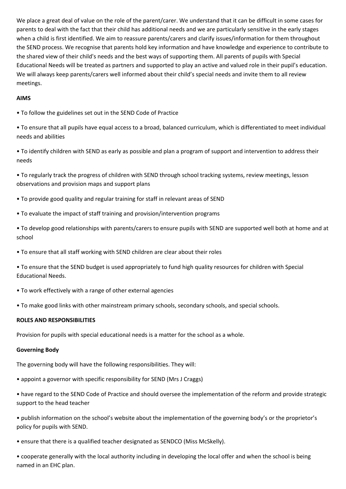We place a great deal of value on the role of the parent/carer. We understand that it can be difficult in some cases for parents to deal with the fact that their child has additional needs and we are particularly sensitive in the early stages when a child is first identified. We aim to reassure parents/carers and clarify issues/information for them throughout the SEND process. We recognise that parents hold key information and have knowledge and experience to contribute to the shared view of their child's needs and the best ways of supporting them. All parents of pupils with Special Educational Needs will be treated as partners and supported to play an active and valued role in their pupil's education. We will always keep parents/carers well informed about their child's special needs and invite them to all review meetings.

#### **AIMS**

- To follow the guidelines set out in the SEND Code of Practice
- To ensure that all pupils have equal access to a broad, balanced curriculum, which is differentiated to meet individual needs and abilities
- To identify children with SEND as early as possible and plan a program of support and intervention to address their needs
- To regularly track the progress of children with SEND through school tracking systems, review meetings, lesson observations and provision maps and support plans
- To provide good quality and regular training for staff in relevant areas of SEND
- To evaluate the impact of staff training and provision/intervention programs
- To develop good relationships with parents/carers to ensure pupils with SEND are supported well both at home and at school
- To ensure that all staff working with SEND children are clear about their roles
- To ensure that the SEND budget is used appropriately to fund high quality resources for children with Special Educational Needs.
- To work effectively with a range of other external agencies
- To make good links with other mainstream primary schools, secondary schools, and special schools.

#### **ROLES AND RESPONSIBILITIES**

Provision for pupils with special educational needs is a matter for the school as a whole.

#### **Governing Body**

The governing body will have the following responsibilities. They will:

- appoint a governor with specific responsibility for SEND (Mrs J Craggs)
- have regard to the SEND Code of Practice and should oversee the implementation of the reform and provide strategic support to the head teacher
- publish information on the school's website about the implementation of the governing body's or the proprietor's policy for pupils with SEND.
- ensure that there is a qualified teacher designated as SENDCO (Miss McSkelly).
- cooperate generally with the local authority including in developing the local offer and when the school is being named in an EHC plan.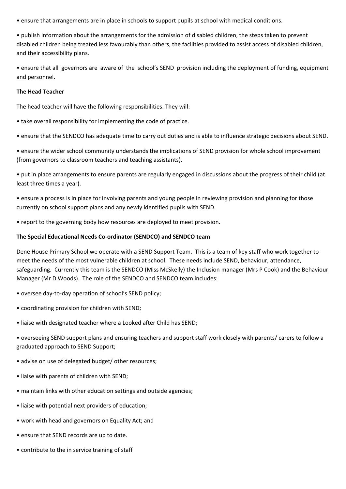• ensure that arrangements are in place in schools to support pupils at school with medical conditions.

• publish information about the arrangements for the admission of disabled children, the steps taken to prevent disabled children being treated less favourably than others, the facilities provided to assist access of disabled children, and their accessibility plans.

• ensure that all governors are aware of the school's SEND provision including the deployment of funding, equipment and personnel.

#### **The Head Teacher**

The head teacher will have the following responsibilities. They will:

- take overall responsibility for implementing the code of practice.
- ensure that the SENDCO has adequate time to carry out duties and is able to influence strategic decisions about SEND.

• ensure the wider school community understands the implications of SEND provision for whole school improvement (from governors to classroom teachers and teaching assistants).

• put in place arrangements to ensure parents are regularly engaged in discussions about the progress of their child (at least three times a year).

• ensure a process is in place for involving parents and young people in reviewing provision and planning for those currently on school support plans and any newly identified pupils with SEND.

• report to the governing body how resources are deployed to meet provision.

#### **The Special Educational Needs Co-ordinator (SENDCO) and SENDCO team**

Dene House Primary School we operate with a SEND Support Team. This is a team of key staff who work together to meet the needs of the most vulnerable children at school. These needs include SEND, behaviour, attendance, safeguarding. Currently this team is the SENDCO (Miss McSkelly) the Inclusion manager (Mrs P Cook) and the Behaviour Manager (Mr D Woods). The role of the SENDCO and SENDCO team includes:

- oversee day-to-day operation of school's SEND policy;
- coordinating provision for children with SEND;
- liaise with designated teacher where a Looked after Child has SEND;

• overseeing SEND support plans and ensuring teachers and support staff work closely with parents/ carers to follow a graduated approach to SEND Support;

- advise on use of delegated budget/ other resources;
- liaise with parents of children with SEND;
- maintain links with other education settings and outside agencies;
- liaise with potential next providers of education;
- work with head and governors on Equality Act; and
- ensure that SEND records are up to date.
- contribute to the in service training of staff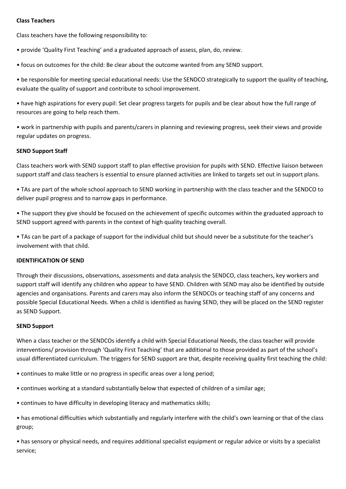#### **Class Teachers**

Class teachers have the following responsibility to:

• provide 'Quality First Teaching' and a graduated approach of assess, plan, do, review.

• focus on outcomes for the child: Be clear about the outcome wanted from any SEND support.

• be responsible for meeting special educational needs: Use the SENDCO strategically to support the quality of teaching, evaluate the quality of support and contribute to school improvement.

• have high aspirations for every pupil: Set clear progress targets for pupils and be clear about how the full range of resources are going to help reach them.

• work in partnership with pupils and parents/carers in planning and reviewing progress, seek their views and provide regular updates on progress.

#### **SEND Support Staff**

Class teachers work with SEND support staff to plan effective provision for pupils with SEND. Effective liaison between support staff and class teachers is essential to ensure planned activities are linked to targets set out in support plans.

• TAs are part of the whole school approach to SEND working in partnership with the class teacher and the SENDCO to deliver pupil progress and to narrow gaps in performance.

• The support they give should be focused on the achievement of specific outcomes within the graduated approach to SEND support agreed with parents in the context of high quality teaching overall.

• TAs can be part of a package of support for the individual child but should never be a substitute for the teacher's involvement with that child.

#### **IDENTIFICATION OF SEND**

Through their discussions, observations, assessments and data analysis the SENDCO, class teachers, key workers and support staff will identify any children who appear to have SEND. Children with SEND may also be identified by outside agencies and organisations. Parents and carers may also inform the SENDCOs or teaching staff of any concerns and possible Special Educational Needs. When a child is identified as having SEND, they will be placed on the SEND register as SEND Support.

#### **SEND Support**

When a class teacher or the SENDCOs identify a child with Special Educational Needs, the class teacher will provide interventions/ provision through 'Quality First Teaching' that are additional to those provided as part of the school's usual differentiated curriculum. The triggers for SEND support are that, despite receiving quality first teaching the child:

• continues to make little or no progress in specific areas over a long period;

- continues working at a standard substantially below that expected of children of a similar age;
- continues to have difficulty in developing literacy and mathematics skills;
- has emotional difficulties which substantially and regularly interfere with the child's own learning or that of the class group;

• has sensory or physical needs, and requires additional specialist equipment or regular advice or visits by a specialist service;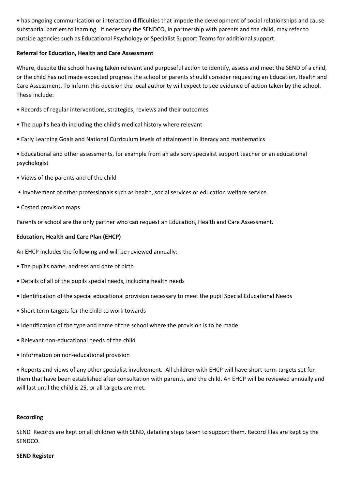• has ongoing communication or interaction difficulties that impede the development of social relationships and cause substantial barriers to learning. If necessary the SENDCO, in partnership with parents and the child, may refer to outside agencies such as Educational Psychology or Specialist Support Teams for additional support.

#### **Referral for Education, Health and Care Assessment**

Where, despite the school having taken relevant and purposeful action to identify, assess and meet the SEND of a child, or the child has not made expected progress the school or parents should consider requesting an Education, Health and Care Assessment. To inform this decision the local authority will expect to see evidence of action taken by the school. These include:

- Records of regular interventions, strategies, reviews and their outcomes
- The pupil's health including the child's medical history where relevant
- Early Learning Goals and National Curriculum levels of attainment in literacy and mathematics
- Educational and other assessments, for example from an advisory specialist support teacher or an educational psychologist
- Views of the parents and of the child
- Involvement of other professionals such as health, social services or education welfare service.
- Costed provision maps

Parents or school are the only partner who can request an Education, Health and Care Assessment.

#### **Education, Health and Care Plan (EHCP)**

An EHCP includes the following and will be reviewed annually:

- The pupil's name, address and date of birth
- Details of all of the pupils special needs, including health needs
- Identification of the special educational provision necessary to meet the pupil Special Educational Needs
- Short term targets for the child to work towards
- Identification of the type and name of the school where the provision is to be made
- Relevant non-educational needs of the child
- Information on non-educational provision

• Reports and views of any other specialist involvement. All children with EHCP will have short-term targets set for them that have been established after consultation with parents, and the child. An EHCP will be reviewed annually and will last until the child is 25, or all targets are met.

#### **Recording**

SEND Records are kept on all children with SEND, detailing steps taken to support them. Record files are kept by the SENDCO.

#### **SEND Register**